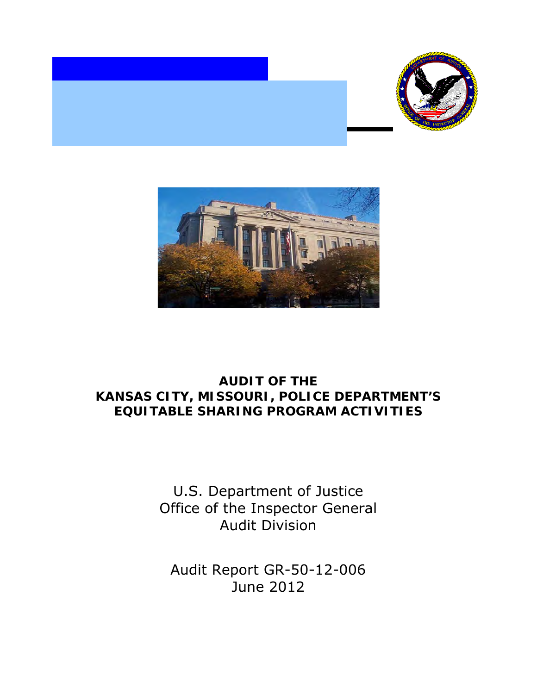



# **EQUITABLE SHARING PROGRAM ACTIVITIES AUDIT OF THE KANSAS CITY, MISSOURI, POLICE DEPARTMENT'S**

U.S. Department of Justice Office of the Inspector General Audit Division

 Audit Report GR-50-12-006 June 2012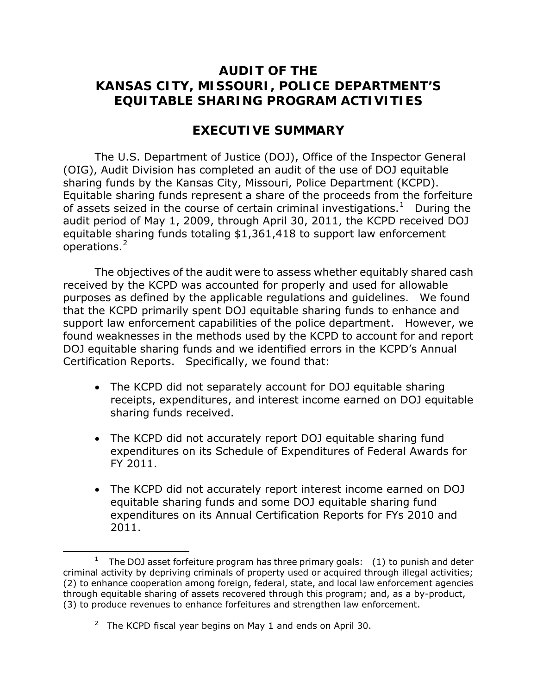## **KANSAS CITY, MISSOURI, POLICE DEPARTMENT'S AUDIT OF THE EQUITABLE SHARING PROGRAM ACTIVITIES**

### **EXECUTIVE SUMMARY**

 sharing funds by the Kansas City, Missouri, Police Department (KCPD). of assets seized in the course of certain criminal investigations.<sup>1</sup> During the audit period of May 1, 2009, through April 30, 2011, the KCPD received DOJ operations.<sup>[2](#page-1-1)</sup> The U.S. Department of Justice (DOJ), Office of the Inspector General (OIG), Audit Division has completed an audit of the use of DOJ equitable Equitable sharing funds represent a share of the proceeds from the forfeiture equitable sharing funds totaling \$1,361,418 to support law enforcement

 received by the KCPD was accounted for properly and used for allowable that the KCPD primarily spent DOJ equitable sharing funds to enhance and found weaknesses in the methods used by the KCPD to account for and report The objectives of the audit were to assess whether equitably shared cash purposes as defined by the applicable regulations and guidelines. We found support law enforcement capabilities of the police department. However, we DOJ equitable sharing funds and we identified errors in the KCPD's Annual Certification Reports. Specifically, we found that:

- sharing funds received. • The KCPD did not separately account for DOJ equitable sharing receipts, expenditures, and interest income earned on DOJ equitable
- FY 2011. • The KCPD did not accurately report DOJ equitable sharing fund expenditures on its Schedule of Expenditures of Federal Awards for
- 2011. • The KCPD did not accurately report interest income earned on DOJ equitable sharing funds and some DOJ equitable sharing fund expenditures on its Annual Certification Reports for FYs 2010 and

<span id="page-1-0"></span> $\overline{\phantom{0}}$ 

<sup>2011.</sup>  $\overline{\hspace{2cm}}$  The DOJ asset forfeiture program has three primary goals:  $\hspace{2cm}$  (1) to punish and deter criminal activity by depriving criminals of property used or acquired through illegal activities; (2) to enhance cooperation among foreign, federal, state, and local law enforcement agencies through equitable sharing of assets recovered through this program; and, as a by-product, (3) to produce revenues to enhance forfeitures and strengthen law enforcement.

<span id="page-1-1"></span> $2$  The KCPD fiscal year begins on May 1 and ends on April 30.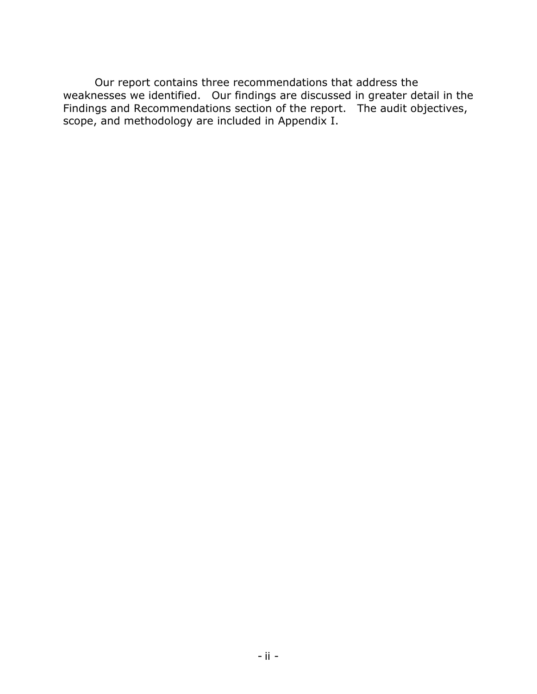scope, and methodology are included in Appendix I. Our report contains three recommendations that address the weaknesses we identified. Our findings are discussed in greater detail in the Findings and Recommendations section of the report. The audit objectives, scope, and methodology are included in Appendix I.<br> $\cdot$  ii -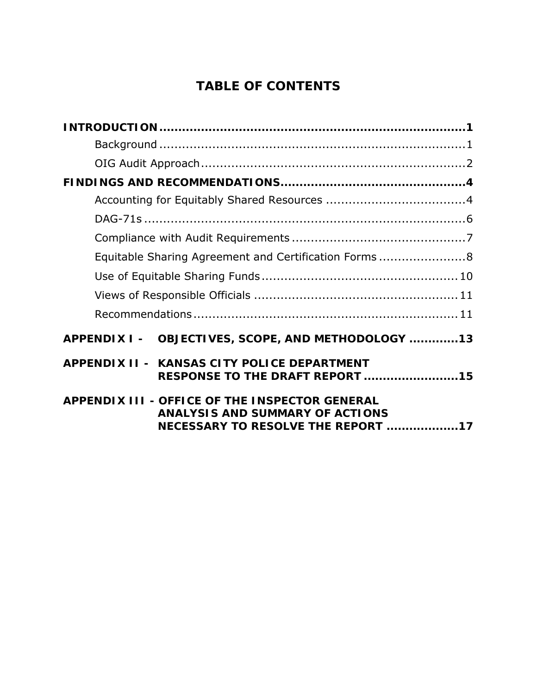# **TABLE OF CONTENTS**

| Equitable Sharing Agreement and Certification Forms 8                                                                          |  |
|--------------------------------------------------------------------------------------------------------------------------------|--|
|                                                                                                                                |  |
|                                                                                                                                |  |
|                                                                                                                                |  |
| APPENDIX I - OBJECTIVES, SCOPE, AND METHODOLOGY 13                                                                             |  |
| APPENDIX II - KANSAS CITY POLICE DEPARTMENT<br>RESPONSE TO THE DRAFT REPORT 15                                                 |  |
| APPENDIX III - OFFICE OF THE INSPECTOR GENERAL<br><b>ANALYSIS AND SUMMARY OF ACTIONS</b><br>NECESSARY TO RESOLVE THE REPORT 17 |  |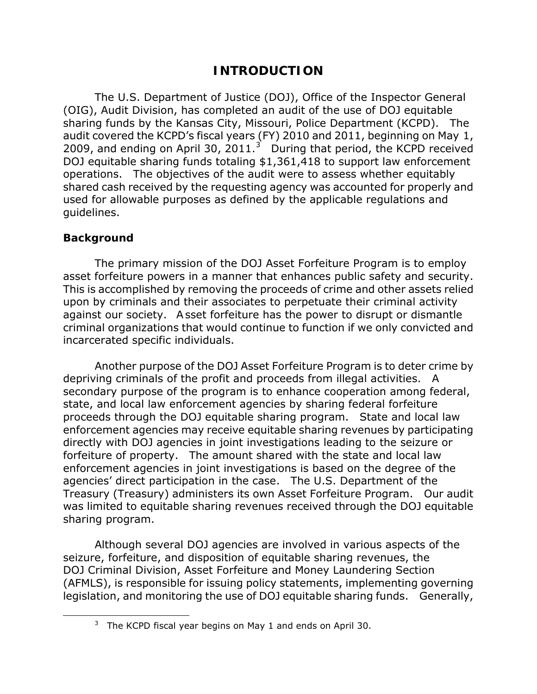## **INTRODUCTION**

<span id="page-4-0"></span> sharing funds by the Kansas City, Missouri, Police Department (KCPD). The 2009, and ending on April [3](#page-4-2)0, 2011.<sup>3</sup> During that period, the KCPD received shared cash received by the requesting agency was accounted for properly and guidelines. The U.S. Department of Justice (DOJ), Office of the Inspector General (OIG), Audit Division, has completed an audit of the use of DOJ equitable audit covered the KCPD's fiscal years (FY) 2010 and 2011, beginning on May 1, DOJ equitable sharing funds totaling \$1,361,418 to support law enforcement operations. The objectives of the audit were to assess whether equitably used for allowable purposes as defined by the applicable regulations and

#### <span id="page-4-1"></span>**Background**

<span id="page-4-2"></span>ı

 The primary mission of the DOJ Asset Forfeiture Program is to employ asset forfeiture powers in a manner that enhances public safety and security. This is accomplished by removing the proceeds of crime and other assets relied upon by criminals and their associates to perpetuate their criminal activity against our society. Asset forfeiture has the power to disrupt or dismantle criminal organizations that would continue to function if we only convicted and incarcerated specific individuals.

 proceeds through the DOJ equitable sharing program. State and local law directly with DOJ agencies in joint investigations leading to the seizure or agencies' direct participation in the case. The U.S. Department of the Treasury (Treasury) administers its own Asset Forfeiture Program. Our audit sharing program. Another purpose of the DOJ Asset Forfeiture Program is to deter crime by depriving criminals of the profit and proceeds from illegal activities. A secondary purpose of the program is to enhance cooperation among federal, state, and local law enforcement agencies by sharing federal forfeiture enforcement agencies may receive equitable sharing revenues by participating forfeiture of property. The amount shared with the state and local law enforcement agencies in joint investigations is based on the degree of the was limited to equitable sharing revenues received through the DOJ equitable

 legislation, and monitoring the use of DOJ equitable sharing funds. Generally, Although several DOJ agencies are involved in various aspects of the seizure, forfeiture, and disposition of equitable sharing revenues, the DOJ Criminal Division, Asset Forfeiture and Money Laundering Section (AFMLS), is responsible for issuing policy statements, implementing governing

 $3$  The KCPD fiscal year begins on May 1 and ends on April 30.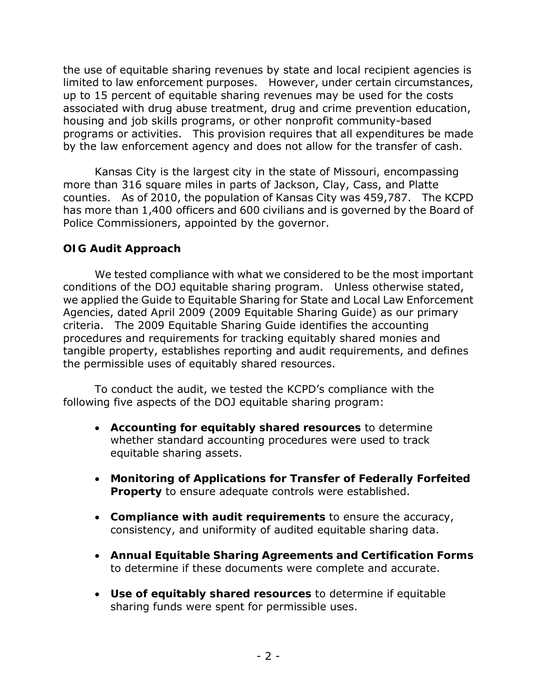the use of equitable sharing revenues by state and local recipient agencies is limited to law enforcement purposes. However, under certain circumstances, up to 15 percent of equitable sharing revenues may be used for the costs associated with drug abuse treatment, drug and crime prevention education, housing and job skills programs, or other nonprofit community-based programs or activities. This provision requires that all expenditures be made by the law enforcement agency and does not allow for the transfer of cash.

 Kansas City is the largest city in the state of Missouri, encompassing more than 316 square miles in parts of Jackson, Clay, Cass, and Platte counties. As of 2010, the population of Kansas City was 459,787. The KCPD has more than 1,400 officers and 600 civilians and is governed by the Board of Police Commissioners, appointed by the governor.

### <span id="page-5-0"></span>**OIG Audit Approach**

 conditions of the DOJ equitable sharing program. Unless otherwise stated, tangible property, establishes reporting and audit requirements, and defines the permissible uses of equitably shared resources. We tested compliance with what we considered to be the most important we applied the Guide to Equitable Sharing for State and Local Law Enforcement Agencies, dated April 2009 (2009 Equitable Sharing Guide) as our primary criteria. The 2009 Equitable Sharing Guide identifies the accounting procedures and requirements for tracking equitably shared monies and

To conduct the audit, we tested the KCPD's compliance with the following five aspects of the DOJ equitable sharing program:

- • **Accounting for equitably shared resources** to determine whether standard accounting procedures were used to track equitable sharing assets.
- • **Monitoring of Applications for Transfer of Federally Forfeited Property** to ensure adequate controls were established.
- consistency, and uniformity of audited equitable sharing data. • **Compliance with audit requirements** to ensure the accuracy,
- to determine if these documents were complete and accurate. • **Annual Equitable Sharing Agreements and Certification Forms**
- sharing funds were spent for permissible uses. • **Use of equitably shared resources** to determine if equitable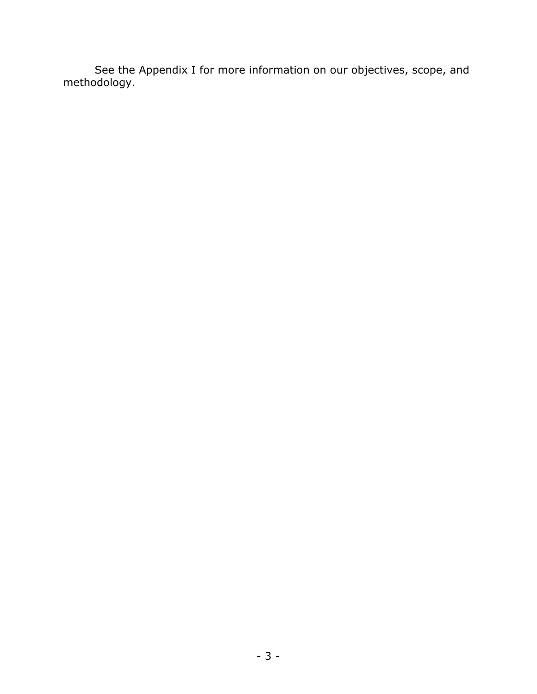See the Appendix I for more information on our objectives, scope, and methodology.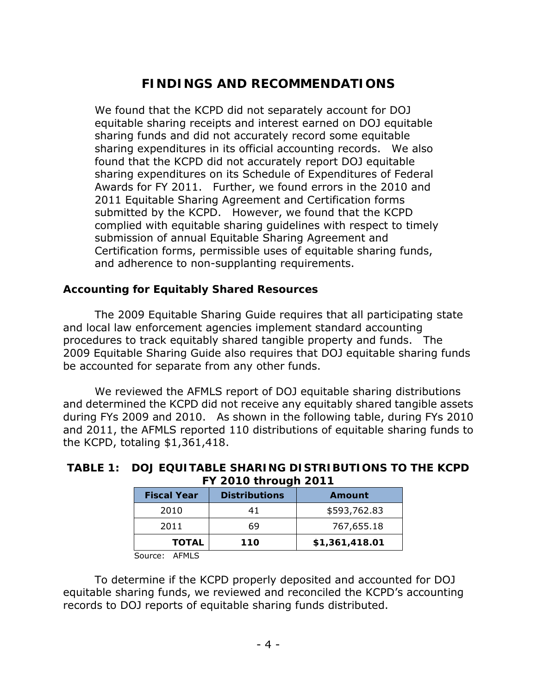# **FINDINGS AND RECOMMENDATIONS**

<span id="page-7-0"></span> We found that the KCPD did not separately account for DOJ sharing expenditures in its official accounting records. We also Awards for FY 2011. Further, we found errors in the 2010 and submitted by the KCPD. However, we found that the KCPD submission of annual Equitable Sharing Agreement and equitable sharing receipts and interest earned on DOJ equitable sharing funds and did not accurately record some equitable found that the KCPD did not accurately report DOJ equitable sharing expenditures on its Schedule of Expenditures of Federal 2011 Equitable Sharing Agreement and Certification forms complied with equitable sharing guidelines with respect to timely Certification forms, permissible uses of equitable sharing funds, and adherence to non-supplanting requirements.

#### <span id="page-7-1"></span>**Accounting for Equitably Shared Resources**

be accounted for separate from any other funds. The 2009 Equitable Sharing Guide requires that all participating state and local law enforcement agencies implement standard accounting procedures to track equitably shared tangible property and funds. The 2009 Equitable Sharing Guide also requires that DOJ equitable sharing funds

 during FYs 2009 and 2010. As shown in the following table, during FYs 2010 We reviewed the AFMLS report of DOJ equitable sharing distributions. and determined the KCPD did not receive any equitably shared tangible assets and 2011, the AFMLS reported 110 distributions of equitable sharing funds to the KCPD, totaling \$1,361,418.

| <b>Fiscal Year</b> | <b>Distributions</b> | Amount         |
|--------------------|----------------------|----------------|
| 2010               | 41                   | \$593,762.83   |
| 2011               | 69                   | 767,655.18     |
| <b>TOTAL</b>       | 110                  | \$1,361,418.01 |

#### **FY 2010 through 2011 TABLE 1: DOJ EQUITABLE SHARING DISTRIBUTIONS TO THE KCPD**

Source: AFMLS

To determine if the KCPD properly deposited and accounted for DOJ equitable sharing funds, we reviewed and reconciled the KCPD's accounting records to DOJ reports of equitable sharing funds distributed.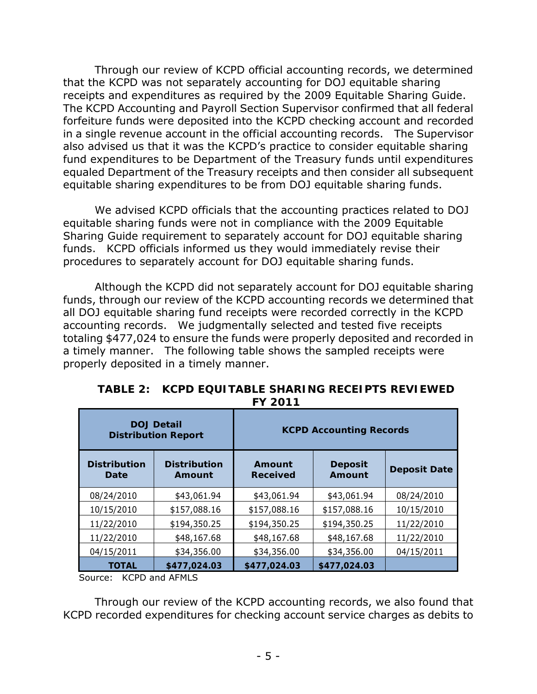receipts and expenditures as required by the 2009 Equitable Sharing Guide. in a single revenue account in the official accounting records. The Supervisor Through our review of KCPD official accounting records, we determined that the KCPD was not separately accounting for DOJ equitable sharing The KCPD Accounting and Payroll Section Supervisor confirmed that all federal forfeiture funds were deposited into the KCPD checking account and recorded also advised us that it was the KCPD's practice to consider equitable sharing fund expenditures to be Department of the Treasury funds until expenditures equaled Department of the Treasury receipts and then consider all subsequent equitable sharing expenditures to be from DOJ equitable sharing funds.

 funds. KCPD officials informed us they would immediately revise their procedures to separately account for DOJ equitable sharing funds. We advised KCPD officials that the accounting practices related to DOJ equitable sharing funds were not in compliance with the 2009 Equitable Sharing Guide requirement to separately account for DOJ equitable sharing

 accounting records. We judgmentally selected and tested five receipts a timely manner. The following table shows the sampled receipts were Although the KCPD did not separately account for DOJ equitable sharing. funds, through our review of the KCPD accounting records we determined that all DOJ equitable sharing fund receipts were recorded correctly in the KCPD totaling \$477,024 to ensure the funds were properly deposited and recorded in properly deposited in a timely manner.

| <b>DOJ Detail</b><br><b>Distribution Report</b> |                               | <b>KCPD Accounting Records</b> |                          |                     |
|-------------------------------------------------|-------------------------------|--------------------------------|--------------------------|---------------------|
| <b>Distribution</b><br>Date                     | <b>Distribution</b><br>Amount | Amount<br><b>Received</b>      | <b>Deposit</b><br>Amount | <b>Deposit Date</b> |
| 08/24/2010                                      | \$43,061.94                   | \$43,061.94                    | \$43,061.94              | 08/24/2010          |
| 10/15/2010                                      | \$157,088.16                  | \$157,088.16                   | \$157,088.16             | 10/15/2010          |
| 11/22/2010                                      | \$194,350.25                  | \$194,350.25                   | \$194,350.25             | 11/22/2010          |
| 11/22/2010                                      | \$48,167.68                   | \$48,167.68                    | \$48,167.68              | 11/22/2010          |
| 04/15/2011                                      | \$34,356.00                   | \$34,356.00                    | \$34,356.00              | 04/15/2011          |
| <b>TOTAL</b>                                    | \$477,024.03                  | \$477,024.03                   | \$477,024.03             |                     |

 **TABLE 2: KCPD EQUITABLE SHARING RECEIPTS REVIEWED FY 2011 FY 2011** 

Source: KCPD and AFMLS

Through our review of the KCPD accounting records, we also found that KCPD recorded expenditures for checking account service charges as debits to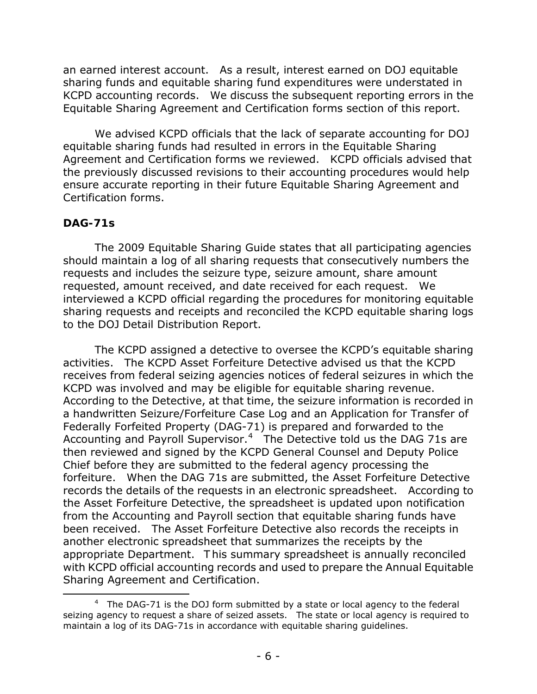KCPD accounting records. We discuss the subsequent reporting errors in the Equitable Sharing Agreement and Certification forms section of this report. an earned interest account. As a result, interest earned on DOJ equitable sharing funds and equitable sharing fund expenditures were understated in

 Equitable Sharing Agreement and Certification forms section of this report. We advised KCPD officials that the lack of separate accounting for DOJ Agreement and Certification forms we reviewed. KCPD officials advised that equitable sharing funds had resulted in errors in the Equitable Sharing the previously discussed revisions to their accounting procedures would help ensure accurate reporting in their future Equitable Sharing Agreement and Certification forms.

#### <span id="page-9-0"></span>**DAG-71s**

<span id="page-9-1"></span>ı

 requested, amount received, and date received for each request. We interviewed a KCPD official regarding the procedures for monitoring equitable The 2009 Equitable Sharing Guide states that all participating agencies should maintain a log of all sharing requests that consecutively numbers the requests and includes the seizure type, seizure amount, share amount sharing requests and receipts and reconciled the KCPD equitable sharing logs to the DOJ Detail Distribution Report.

 According to the Detective, at that time, the seizure information is recorded in Federally Forfeited Property (DAG-71) is prepared and forwarded to the Accounting and Payroll Supervisor.<sup>[4](#page-9-1)</sup> The Detective told us the DAG 71s are then reviewed and signed by the KCPD General Counsel and Deputy Police been received. The Asset Forfeiture Detective also records the receipts in Sharing Agreement and Certification. The KCPD assigned a detective to oversee the KCPD's equitable sharing activities. The KCPD Asset Forfeiture Detective advised us that the KCPD receives from federal seizing agencies notices of federal seizures in which the KCPD was involved and may be eligible for equitable sharing revenue. a handwritten Seizure/Forfeiture Case Log and an Application for Transfer of Chief before they are submitted to the federal agency processing the forfeiture. When the DAG 71s are submitted, the Asset Forfeiture Detective records the details of the requests in an electronic spreadsheet. According to the Asset Forfeiture Detective, the spreadsheet is updated upon notification from the Accounting and Payroll section that equitable sharing funds have another electronic spreadsheet that summarizes the receipts by the appropriate Department. T his summary spreadsheet is annually reconciled with KCPD official accounting records and used to prepare the Annual Equitable

 Sharing Agreement and Certification. 4 The DAG-71 is the DOJ form submitted by a state or local agency to the federal seizing agency to request a share of seized assets. The state or local agency is required to maintain a log of its DAG-71s in accordance with equitable sharing guidelines.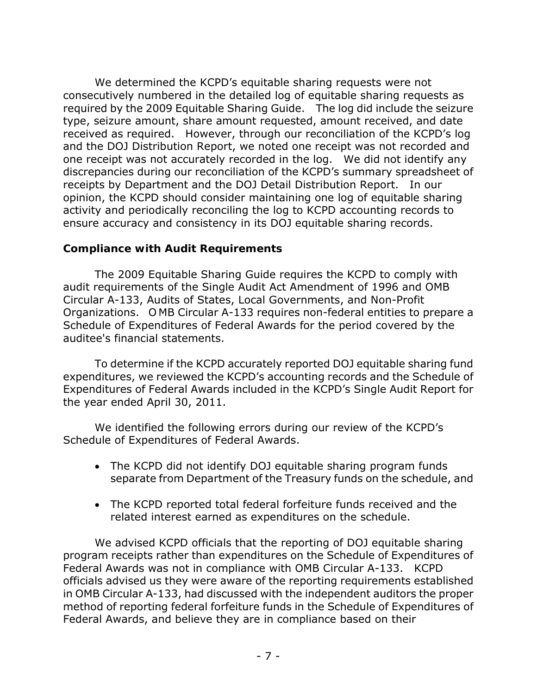required by the 2009 Equitable Sharing Guide. The log did include the seizure received as required. However, through our reconciliation of the KCPD's log discrepancies during our reconciliation of the KCPD's summary spreadsheet of receipts by Department and the DOJ Detail Distribution Report. In our We determined the KCPD's equitable sharing requests were not consecutively numbered in the detailed log of equitable sharing requests as type, seizure amount, share amount requested, amount received, and date and the DOJ Distribution Report, we noted one receipt was not recorded and one receipt was not accurately recorded in the log. We did not identify any opinion, the KCPD should consider maintaining one log of equitable sharing activity and periodically reconciling the log to KCPD accounting records to ensure accuracy and consistency in its DOJ equitable sharing records.

#### <span id="page-10-0"></span>**Compliance with Audit Requirements**

 audit requirements of the Single Audit Act Amendment of 1996 and OMB Organizations. O MB Circular A-133 requires non-federal entities to prepare a The 2009 Equitable Sharing Guide requires the KCPD to comply with Circular A-133, Audits of States, Local Governments, and Non-Profit Schedule of Expenditures of Federal Awards for the period covered by the auditee's financial statements.

 expenditures, we reviewed the KCPD's accounting records and the Schedule of the year ended April 30, 2011. To determine if the KCPD accurately reported DOJ equitable sharing fund Expenditures of Federal Awards included in the KCPD's Single Audit Report for

 Schedule of Expenditures of Federal Awards. We identified the following errors during our review of the KCPD's

- separate from Department of the Treasury funds on the schedule, and • The KCPD did not identify DOJ equitable sharing program funds
- related interest earned as expenditures on the schedule. • The KCPD reported total federal forfeiture funds received and the

 Federal Awards was not in compliance with OMB Circular A-133. KCPD in OMB Circular A-133, had discussed with the independent auditors the proper We advised KCPD officials that the reporting of DOJ equitable sharing program receipts rather than expenditures on the Schedule of Expenditures of officials advised us they were aware of the reporting requirements established method of reporting federal forfeiture funds in the Schedule of Expenditures of Federal Awards, and believe they are in compliance based on their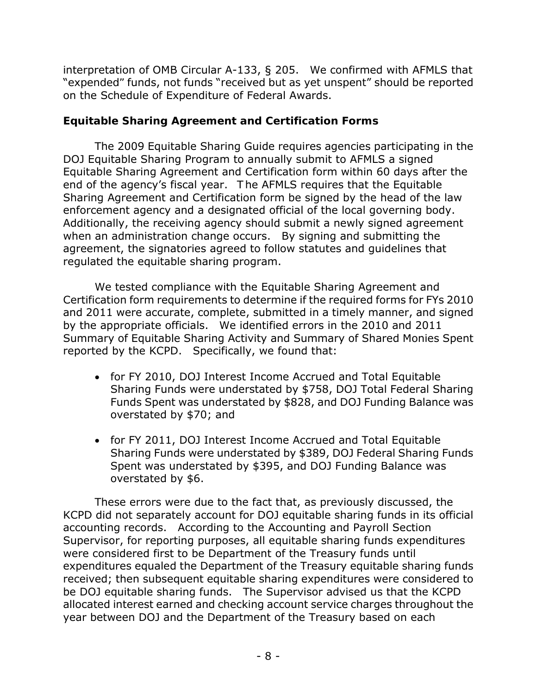on the Schedule of Expenditure of Federal Awards. interpretation of OMB Circular A-133, § 205. We confirmed with AFMLS that "*expended"* funds, not funds "*received but as yet unspent*" should be reported

### <span id="page-11-0"></span>**Equitable Sharing Agreement and Certification Forms**

 Sharing Agreement and Certification form be signed by the head of the law enforcement agency and a designated official of the local governing body. when an administration change occurs. By signing and submitting the regulated the equitable sharing program. The 2009 Equitable Sharing Guide requires agencies participating in the DOJ Equitable Sharing Program to annually submit to AFMLS a signed Equitable Sharing Agreement and Certification form within 60 days after the end of the agency's fiscal year. T he AFMLS requires that the Equitable Additionally, the receiving agency should submit a newly signed agreement agreement, the signatories agreed to follow statutes and guidelines that

 and 2011 were accurate, complete, submitted in a timely manner, and signed We tested compliance with the Equitable Sharing Agreement and Certification form requirements to determine if the required forms for FYs 2010 by the appropriate officials. We identified errors in the 2010 and 2011 Summary of Equitable Sharing Activity and Summary of Shared Monies Spent reported by the KCPD. Specifically, we found that:

- overstated by \$70; and • for FY 2010, DOJ Interest Income Accrued and Total Equitable Sharing Funds were understated by \$758, DOJ Total Federal Sharing Funds Spent was understated by \$828, and DOJ Funding Balance was
- Sharing Funds were understated by \$389, DOJ Federal Sharing Funds Spent was understated by \$395, and DOJ Funding Balance was • for FY 2011, DOJ Interest Income Accrued and Total Equitable overstated by \$6.

 accounting records. According to the Accounting and Payroll Section were considered first to be Department of the Treasury funds until received; then subsequent equitable sharing expenditures were considered to be DOJ equitable sharing funds. The Supervisor advised us that the KCPD These errors were due to the fact that, as previously discussed, the KCPD did not separately account for DOJ equitable sharing funds in its official Supervisor, for reporting purposes, all equitable sharing funds expenditures expenditures equaled the Department of the Treasury equitable sharing funds allocated interest earned and checking account service charges throughout the year between DOJ and the Department of the Treasury based on each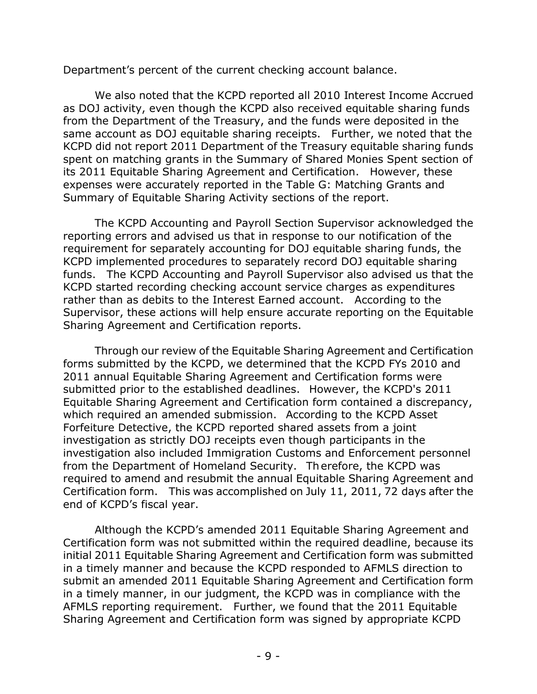Department's percent of the current checking account balance.

 Department's percent of the current checking account balance. We also noted that the KCPD reported all 2010 Interest Income Accrued same account as DOJ equitable sharing receipts. Further, we noted that the Summary of Equitable Sharing Activity sections of the report. as DOJ activity, even though the KCPD also received equitable sharing funds from the Department of the Treasury, and the funds were deposited in the KCPD did not report 2011 Department of the Treasury equitable sharing funds spent on matching grants in the Summary of Shared Monies Spent section of its 2011 Equitable Sharing Agreement and Certification. However, these expenses were accurately reported in the Table G: Matching Grants and

 funds. The KCPD Accounting and Payroll Supervisor also advised us that the rather than as debits to the Interest Earned account. According to the The KCPD Accounting and Payroll Section Supervisor acknowledged the reporting errors and advised us that in response to our notification of the requirement for separately accounting for DOJ equitable sharing funds, the KCPD implemented procedures to separately record DOJ equitable sharing KCPD started recording checking account service charges as expenditures Supervisor, these actions will help ensure accurate reporting on the Equitable Sharing Agreement and Certification reports.

 submitted prior to the established deadlines. However, the KCPD's 2011 which required an amended submission. According to the KCPD Asset Certification form. This was accomplished on July 11, 2011, 72 days after the Through our review of the Equitable Sharing Agreement and Certification forms submitted by the KCPD, we determined that the KCPD FYs 2010 and 2011 annual Equitable Sharing Agreement and Certification forms were Equitable Sharing Agreement and Certification form contained a discrepancy, Forfeiture Detective, the KCPD reported shared assets from a joint investigation as strictly DOJ receipts even though participants in the investigation also included Immigration Customs and Enforcement personnel from the Department of Homeland Security. Th erefore, the KCPD was required to amend and resubmit the annual Equitable Sharing Agreement and end of KCPD's fiscal year.

 AFMLS reporting requirement. Further, we found that the 2011 Equitable Although the KCPD's amended 2011 Equitable Sharing Agreement and Certification form was not submitted within the required deadline, because its initial 2011 Equitable Sharing Agreement and Certification form was submitted in a timely manner and because the KCPD responded to AFMLS direction to submit an amended 2011 Equitable Sharing Agreement and Certification form in a timely manner, in our judgment, the KCPD was in compliance with the Sharing Agreement and Certification form was signed by appropriate KCPD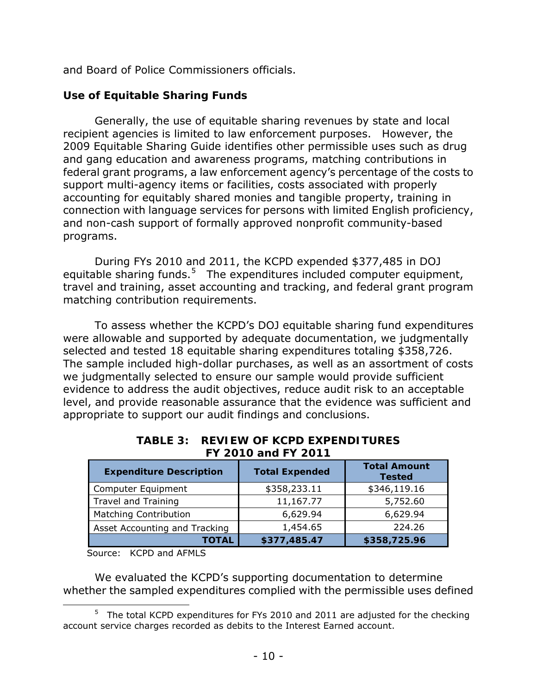and Board of Police Commissioners officials.

### <span id="page-13-0"></span>**Use of Equitable Sharing Funds**

programs. Generally, the use of equitable sharing revenues by state and local recipient agencies is limited to law enforcement purposes. However, the 2009 Equitable Sharing Guide identifies other permissible uses such as drug and gang education and awareness programs, matching contributions in federal grant programs, a law enforcement agency's percentage of the costs to support multi-agency items or facilities, costs associated with properly accounting for equitably shared monies and tangible property, training in connection with language services for persons with limited English proficiency, and non-cash support of formally approved nonprofit community-based

equitable sharing funds.<sup>[5](#page-13-1)</sup> The expenditures included computer equipment, matching contribution requirements. During FYs 2010 and 2011, the KCPD expended \$377,485 in DOJ travel and training, asset accounting and tracking, and federal grant program

 selected and tested 18 equitable sharing expenditures totaling \$358,726. To assess whether the KCPD's DOJ equitable sharing fund expenditures were allowable and supported by adequate documentation, we judgmentally The sample included high-dollar purchases, as well as an assortment of costs we judgmentally selected to ensure our sample would provide sufficient evidence to address the audit objectives, reduce audit risk to an acceptable level, and provide reasonable assurance that the evidence was sufficient and appropriate to support our audit findings and conclusions.

| <b>Expenditure Description</b> | <b>Total Expended</b> | <b>Total Amount</b><br><b>Tested</b> |  |  |  |  |
|--------------------------------|-----------------------|--------------------------------------|--|--|--|--|
| Computer Equipment             | \$358,233.11          | \$346,119.16                         |  |  |  |  |
| Travel and Training            | 11,167.77             | 5,752.60                             |  |  |  |  |
| <b>Matching Contribution</b>   | 6,629.94              | 6,629.94                             |  |  |  |  |
| Asset Accounting and Tracking  | 1,454.65              | 224.26                               |  |  |  |  |
| TOTAL                          | \$377,485.47          | \$358,725.96                         |  |  |  |  |

#### **FY 2010 and FY 2011 TABLE 3: REVIEW OF KCPD EXPENDITURES**

Source: KCPD and AFMLS

ı

 whether the sampled expenditures complied with the permissible uses defined We evaluated the KCPD's supporting documentation to determine

<span id="page-13-1"></span> $5$  The total KCPD expenditures for FYs 2010 and 2011 are adjusted for the checking account service charges recorded as debits to the Interest Earned account.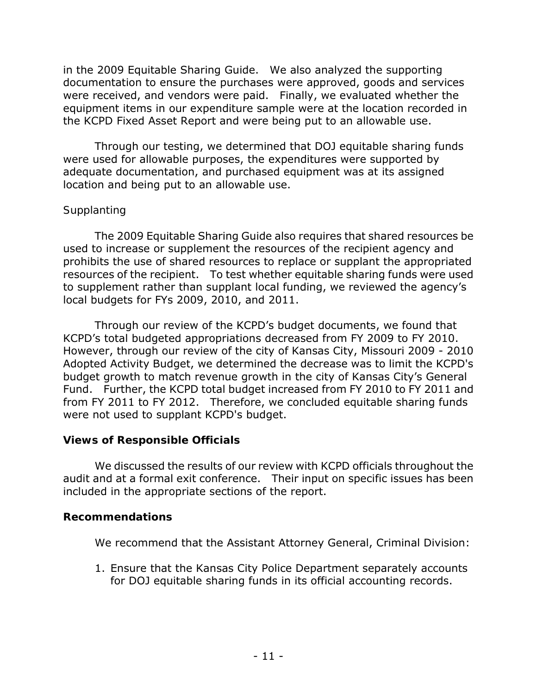in the 2009 Equitable Sharing Guide. We also analyzed the supporting were received, and vendors were paid. Finally, we evaluated whether the equipment items in our expenditure sample were at the location recorded in the KCPD Fixed Asset Report and were being put to an allowable use. documentation to ensure the purchases were approved, goods and services

Through our testing, we determined that DOJ equitable sharing funds were used for allowable purposes, the expenditures were supported by adequate documentation, and purchased equipment was at its assigned location and being put to an allowable use.

#### *Supplanting*

 resources of the recipient. To test whether equitable sharing funds were used local budgets for FYs 2009, 2010, and 2011. The 2009 Equitable Sharing Guide also requires that shared resources be used to increase or supplement the resources of the recipient agency and prohibits the use of shared resources to replace or supplant the appropriated to supplement rather than supplant local funding, we reviewed the agency's

 KCPD's total budgeted appropriations decreased from FY 2009 to FY 2010. Fund. Further, the KCPD total budget increased from FY 2010 to FY 2011 and from FY 2011 to FY 2012. Therefore, we concluded equitable sharing funds were not used to supplant KCPD's budget. Through our review of the KCPD's budget documents, we found that However, through our review of the city of Kansas City, Missouri 2009 - 2010 Adopted Activity Budget, we determined the decrease was to limit the KCPD's budget growth to match revenue growth in the city of Kansas City's General

### <span id="page-14-0"></span>**Views of Responsible Officials**

 audit and at a formal exit conference. Their input on specific issues has been We discussed the results of our review with KCPD officials throughout the included in the appropriate sections of the report.

### <span id="page-14-1"></span>**Recommendations**

We recommend that the Assistant Attorney General, Criminal Division:

 for DOJ equitable sharing funds in its official accounting records. - 11 -1. Ensure that the Kansas City Police Department separately accounts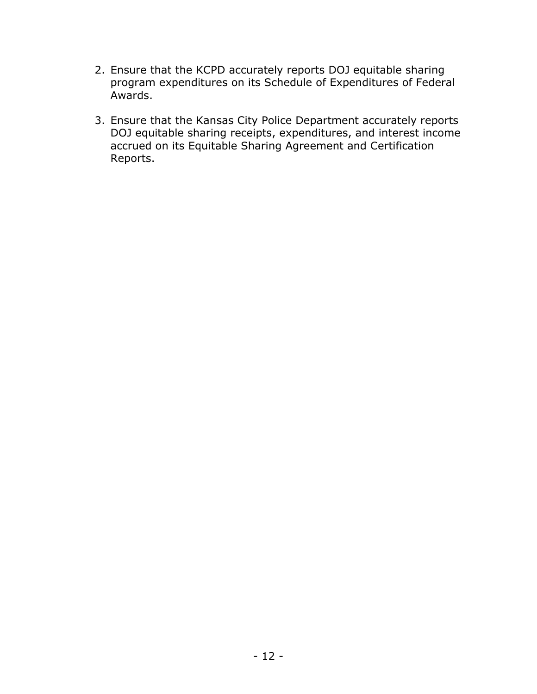- 2. Ensure that the KCPD accurately reports DOJ equitable sharing program expenditures on its Schedule of Expenditures of Federal Awards.
- 3. Ensure that the Kansas City Police Department accurately reports DOJ equitable sharing receipts, expenditures, and interest income accrued on its Equitable Sharing Agreement and Certification Reports.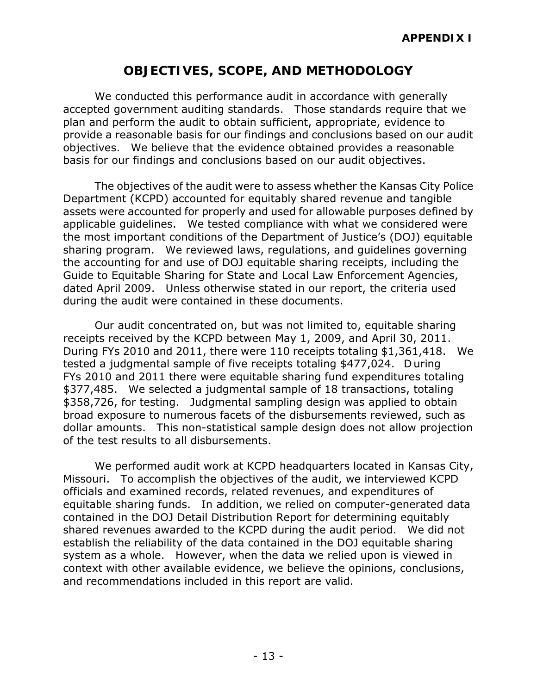## **OBJECTIVES, SCOPE, AND METHODOLOGY**

 accepted government auditing standards. Those standards require that we provide a reasonable basis for our findings and conclusions based on our audit basis for our findings and conclusions based on our audit objectives. We conducted this performance audit in accordance with generally plan and perform the audit to obtain sufficient, appropriate, evidence to objectives. We believe that the evidence obtained provides a reasonable

 basis for our findings and conclusions based on our audit objectives. The objectives of the audit were to assess whether the Kansas City Police Department (KCPD) accounted for equitably shared revenue and tangible applicable guidelines. We tested compliance with what we considered were the most important conditions of the Department of Justice's (DOJ) equitable sharing program. We reviewed laws, regulations, and guidelines governing dated April 2009. Unless otherwise stated in our report, the criteria used during the audit were contained in these documents. assets were accounted for properly and used for allowable purposes defined by the accounting for and use of DOJ equitable sharing receipts, including the Guide to Equitable Sharing for State and Local Law Enforcement Agencies,

 receipts received by the KCPD between May 1, 2009, and April 30, 2011. During FYs 2010 and 2011, there were 110 receipts totaling \$1,361,418. We FYs 2010 and 2011 there were equitable sharing fund expenditures totaling \$377,485. We selected a judgmental sample of 18 transactions, totaling \$358,726, for testing. Judgmental sampling design was applied to obtain Our audit concentrated on, but was not limited to, equitable sharing tested a judgmental sample of five receipts totaling \$477,024. D uring broad exposure to numerous facets of the disbursements reviewed, such as dollar amounts. This non-statistical sample design does not allow projection of the test results to all disbursements.

 equitable sharing funds. In addition, we relied on computer-generated data shared revenues awarded to the KCPD during the audit period. We did not system as a whole. However, when the data we relied upon is viewed in We performed audit work at KCPD headquarters located in Kansas City, Missouri. To accomplish the objectives of the audit, we interviewed KCPD officials and examined records, related revenues, and expenditures of contained in the DOJ Detail Distribution Report for determining equitably establish the reliability of the data contained in the DOJ equitable sharing context with other available evidence, we believe the opinions, conclusions, and recommendations included in this report are valid.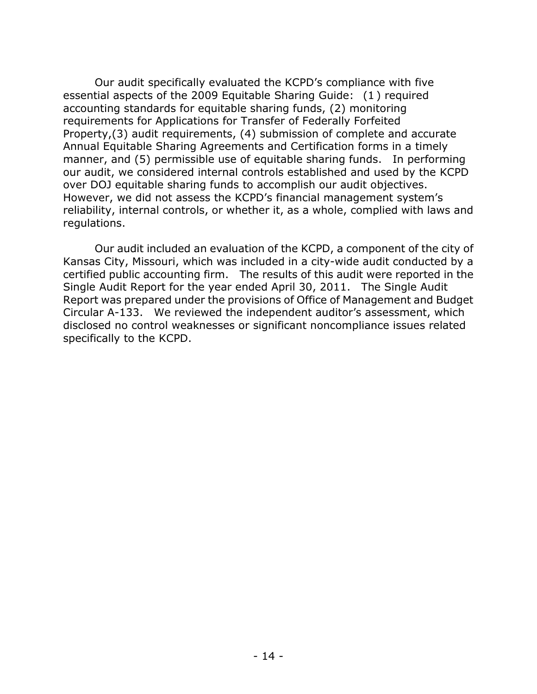accounting standards for equitable sharing funds, (2) monitoring manner, and (5) permissible use of equitable sharing funds. In performing regulations. Our audit specifically evaluated the KCPD's compliance with five essential aspects of the 2009 Equitable Sharing Guide: (1 ) required requirements for Applications for Transfer of Federally Forfeited Property,(3) audit requirements, (4) submission of complete and accurate Annual Equitable Sharing Agreements and Certification forms in a timely our audit, we considered internal controls established and used by the KCPD over DOJ equitable sharing funds to accomplish our audit objectives. However, we did not assess the KCPD's financial management system's reliability, internal controls, or whether it, as a whole, complied with laws and

 regulations. Our audit included an evaluation of the KCPD, a component of the city of Single Audit Report for the year ended April 30, 2011. The Single Audit Circular A-133. We reviewed the independent auditor's assessment, which Kansas City, Missouri, which was included in a city-wide audit conducted by a certified public accounting firm. The results of this audit were reported in the Report was prepared under the provisions of Office of Management and Budget disclosed no control weaknesses or significant noncompliance issues related specifically to the KCPD.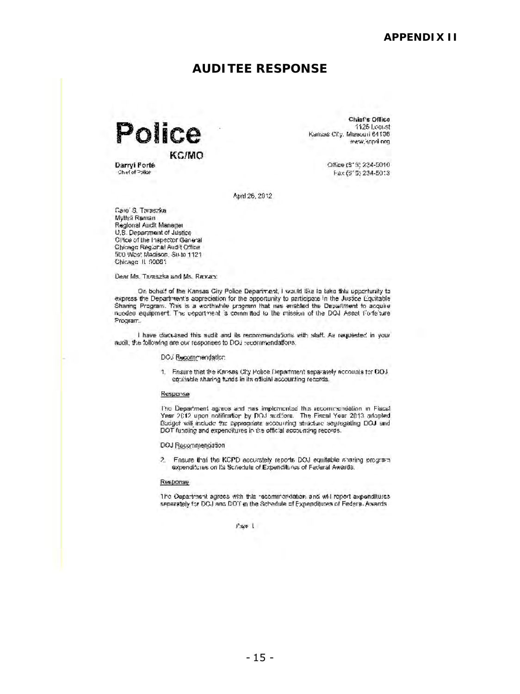### **AUDITEE RESPONSE**

<span id="page-18-0"></span>Police KC/MO

Chief's Office 1125 Leeust Kansas Ci'.y. Miesouri 64106 "... end org

Darryl Forté (S' :;; 234-5010)<br>المقام المقام المقام المقام المقام المقام المقام المقام المقام المقام المقام المقام المقام المقام المقام المقا<br>المقام المقام المقام المقام المقام المقام المقام المقام المقام المقام المقام ا '::h~of"=>:)Ib!- f· il.x: (:J' :J:. 2301-50: 3

April 26, 2012

f.are' S. Threszka Mythsi Raman Regional Audit Manager U,S. Department of Justice-Oi'ice of the Inspector Garleral Chicago Regiana! Audit Office. ~jto W0G: r./l;;l:o!lisor:. Su·[0 1121 Chicago. IL f/ODS1

Dear Ms. Taraszka and Ms. Raman:

Or: bchaif of the Kansas City Police Department, I would like In take this upperfunity to express the Department's appreciation for the opportunity to participate in the Justice Equitable Sharing Program. This is a worthwhile program that mas enabled the Department to acquire nooded equipment. The department is committed to the mission of the DOJ Asset Portefaire. ?n:qrarr ..

I have discussed this sudit and ils recommendations with staff. As requested in your audit, the following are our responses to DOJ : ccommendations.

#### DO3 Recommendation

1. Finsure that the Kansas City Police Department separately accounts for OOJ. equitable sharing funds in its official accounting records.

#### Response

Pic Department agrees and has implemented this recommondation in FigesT Year 2012 upon notification by DOJ suditors. The Fiscal Year 2013 adopted. Budget will include the appropriate accounting structure segregating DOJ and DOT funding and expenditures in the official accounting records.

#### DOJ Recommendation

?.. Fnsure that the KCPD accurately reports DOJ equitable sharing program expenditures on Its Scriedule of Expenditures of Federal Awards.

#### Response

The Dapartment agrees with this recommendation and will report axpenditures. separately for DOJ and DOT in the Schedule of Expenditures of Federa. Awards:

 $P$  ske  $1$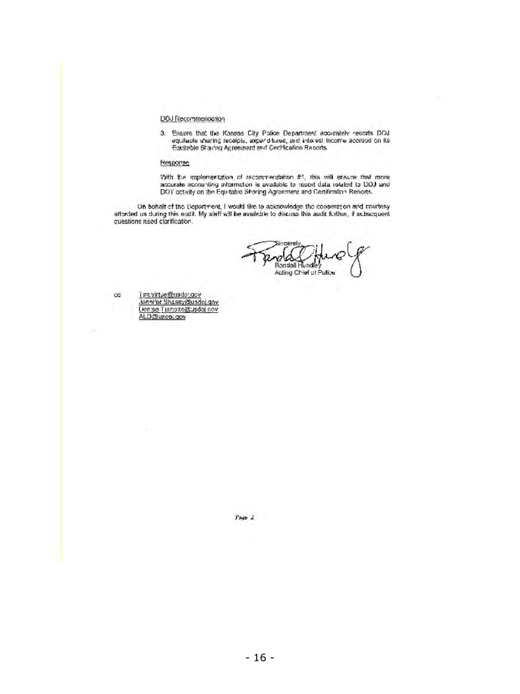#### DOJ Recommendation

3. Ensure that the Kansas City Police Department accurately renorts DOJ: equitable aharing receiple, axpand-tures, and intorest income accrude on its Equitable Sharing Agreement and Certification Reports.

#### **Response**

'With fise implementation of recommendation #1, this will ensure that more accurate accounting information is available to seport data related to DOJ iand.<br>DOT octwity on the Equitable Shoring Agreement and Certifirstian Reports.

Un bohalt of the Department, I would like to acknowledge the cooperators and courtesy.<br>afferded us during this eudit. My siaff will be available to discuss this audit further, if subsequent. cuestions need clarification,

Sincerely Randall Hundle Acting Chief of Pulice

cc <u>ï jm.virtue@usdoy.gcv</u><br>Lennifer.Shasky@usdoj.gov, Liensse Turgoste@usdoj nov ALO@usco;.gov

œ.

 $\lambda$  sign  $\lambda$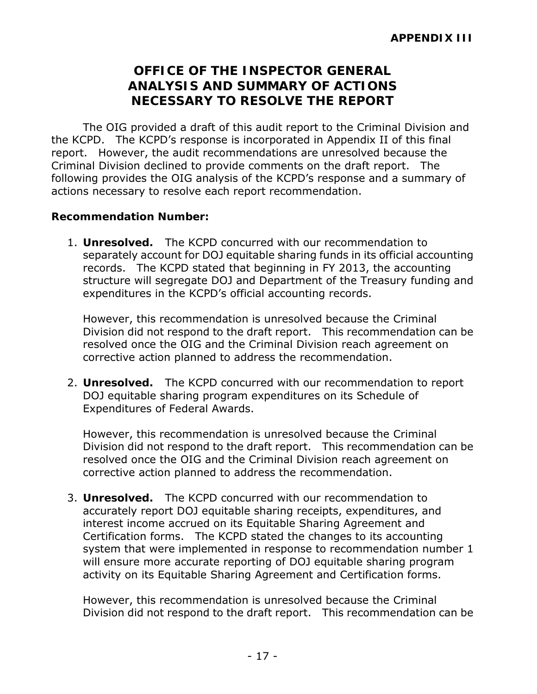## **OFFICE OF THE INSPECTOR GENERAL ANALYSIS AND SUMMARY OF ACTIONS NECESSARY TO RESOLVE THE REPORT**

<span id="page-20-0"></span> the KCPD. The KCPD's response is incorporated in Appendix II of this final report. However, the audit recommendations are unresolved because the Criminal Division declined to provide comments on the draft report. The The OIG provided a draft of this audit report to the Criminal Division and following provides the OIG analysis of the KCPD's response and a summary of actions necessary to resolve each report recommendation.

#### **Recommendation Number:**

 1. **Unresolved.** The KCPD concurred with our recommendation to separately account for DOJ equitable sharing funds in its official accounting records. The KCPD stated that beginning in FY 2013, the accounting expenditures in the KCPD's official accounting records. structure will segregate DOJ and Department of the Treasury funding and

expenditures in the KCPD's official accounting records.<br>However, this recommendation is unresolved because the Criminal Division did not respond to the draft report. This recommendation can be corrective action planned to address the recommendation. resolved once the OIG and the Criminal Division reach agreement on

 corrective action planned to address the recommendation. 2. **Unresolved.** The KCPD concurred with our recommendation to report Expenditures of Federal Awards. DOJ equitable sharing program expenditures on its Schedule of

Expenditures of Federal Awards.<br>However, this recommendation is unresolved because the Criminal Division did not respond to the draft report. This recommendation can be corrective action planned to address the recommendation. resolved once the OIG and the Criminal Division reach agreement on

 corrective action planned to address the recommendation. 3. **Unresolved.** The KCPD concurred with our recommendation to Certification forms. The KCPD stated the changes to its accounting accurately report DOJ equitable sharing receipts, expenditures, and interest income accrued on its Equitable Sharing Agreement and system that were implemented in response to recommendation number 1 will ensure more accurate reporting of DOJ equitable sharing program activity on its Equitable Sharing Agreement and Certification forms.

 However, this recommendation is unresolved because the Criminal Division did not respond to the draft report. This recommendation can be